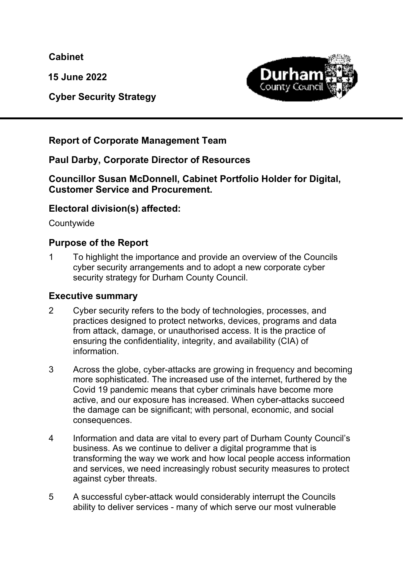**Cabinet** 

**15 June 2022** 



 **Cyber Security Strategy** 

## **Report of Corporate Management Team**

#### **Paul Darby, Corporate Director of Resources**

#### **Councillor Susan McDonnell, Cabinet Portfolio Holder for Digital, Customer Service and Procurement.**

#### **Electoral division(s) affected:**

**Countywide** 

#### **Purpose of the Report**

1 To highlight the importance and provide an overview of the Councils cyber security arrangements and to adopt a new corporate cyber security strategy for Durham County Council.

#### **Executive summary**

- 2 Cyber security refers to the body of technologies, processes, and practices designed to protect networks, devices, programs and data from attack, damage, or unauthorised access. It is the practice of ensuring the confidentiality, integrity, and availability (CIA) of information.
- 3 Across the globe, cyber-attacks are growing in frequency and becoming more sophisticated. The increased use of the internet, furthered by the Covid 19 pandemic means that cyber criminals have become more active, and our exposure has increased. When cyber-attacks succeed the damage can be significant; with personal, economic, and social consequences.
- 4 Information and data are vital to every part of Durham County Council's business. As we continue to deliver a digital programme that is transforming the way we work and how local people access information and services, we need increasingly robust security measures to protect against cyber threats.
- 5 A successful cyber-attack would considerably interrupt the Councils ability to deliver services - many of which serve our most vulnerable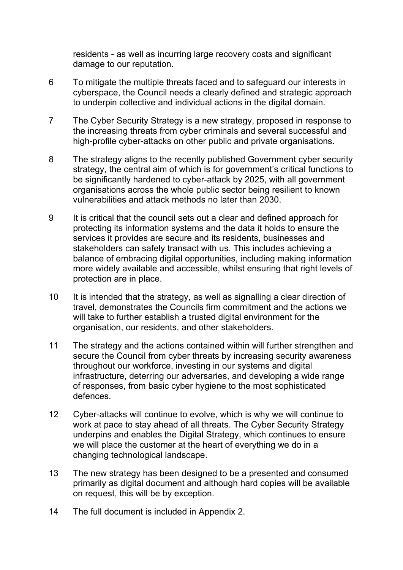residents - as well as incurring large recovery costs and significant damage to our reputation.

- 6 To mitigate the multiple threats faced and to safeguard our interests in cyberspace, the Council needs a clearly defined and strategic approach to underpin collective and individual actions in the digital domain.
- 7 The Cyber Security Strategy is a new strategy, proposed in response to the increasing threats from cyber criminals and several successful and high-profile cyber-attacks on other public and private organisations.
- 8 The strategy aligns to the recently published Government cyber security strategy, the central aim of which is for government's critical functions to be significantly hardened to cyber-attack by 2025, with all government organisations across the whole public sector being resilient to known vulnerabilities and attack methods no later than 2030.
- 9 It is critical that the council sets out a clear and defined approach for protecting its information systems and the data it holds to ensure the services it provides are secure and its residents, businesses and stakeholders can safely transact with us. This includes achieving a balance of embracing digital opportunities, including making information more widely available and accessible, whilst ensuring that right levels of protection are in place.
- 10 It is intended that the strategy, as well as signalling a clear direction of travel, demonstrates the Councils firm commitment and the actions we will take to further establish a trusted digital environment for the organisation, our residents, and other stakeholders.
- 11 The strategy and the actions contained within will further strengthen and secure the Council from cyber threats by increasing security awareness throughout our workforce, investing in our systems and digital infrastructure, deterring our adversaries, and developing a wide range of responses, from basic cyber hygiene to the most sophisticated defences.
- 12 Cyber-attacks will continue to evolve, which is why we will continue to work at pace to stay ahead of all threats. The Cyber Security Strategy underpins and enables the Digital Strategy, which continues to ensure we will place the customer at the heart of everything we do in a changing technological landscape.
- 13 The new strategy has been designed to be a presented and consumed primarily as digital document and although hard copies will be available on request, this will be by exception.
- 14 The full document is included in Appendix 2.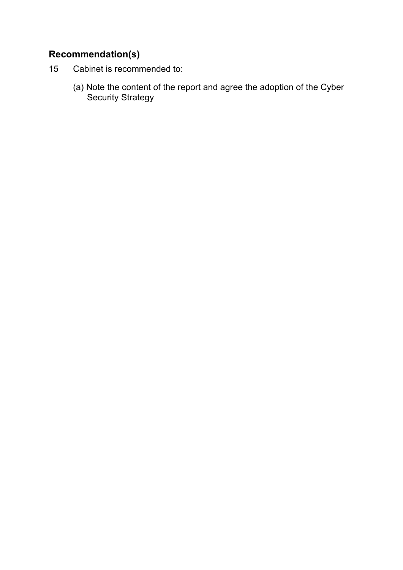## **Recommendation(s)**

- 15 Cabinet is recommended to:
	- (a) Note the content of the report and agree the adoption of the Cyber Security Strategy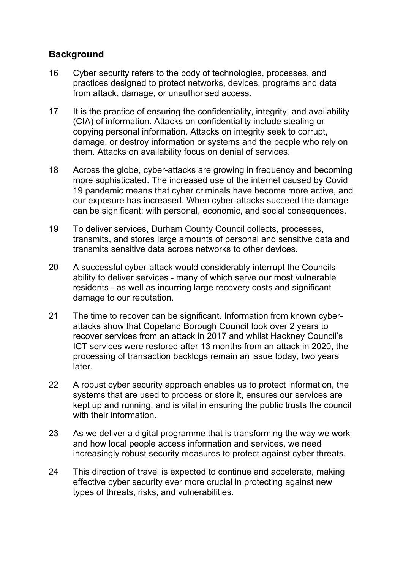## **Background**

- 16 Cyber security refers to the body of technologies, processes, and practices designed to protect networks, devices, programs and data from attack, damage, or unauthorised access.
- 17 It is the practice of ensuring the confidentiality, integrity, and availability (CIA) of information. Attacks on confidentiality include stealing or copying personal information. Attacks on integrity seek to corrupt, damage, or destroy information or systems and the people who rely on them. Attacks on availability focus on denial of services.
- 18 Across the globe, cyber-attacks are growing in frequency and becoming more sophisticated. The increased use of the internet caused by Covid 19 pandemic means that cyber criminals have become more active, and our exposure has increased. When cyber-attacks succeed the damage can be significant; with personal, economic, and social consequences.
- 19 To deliver services, Durham County Council collects, processes, transmits, and stores large amounts of personal and sensitive data and transmits sensitive data across networks to other devices.
- 20 A successful cyber-attack would considerably interrupt the Councils ability to deliver services - many of which serve our most vulnerable residents - as well as incurring large recovery costs and significant damage to our reputation.
- 21 The time to recover can be significant. Information from known cyberattacks show that Copeland Borough Council took over 2 years to recover services from an attack in 2017 and whilst Hackney Council's ICT services were restored after 13 months from an attack in 2020, the processing of transaction backlogs remain an issue today, two years later.
- 22 A robust cyber security approach enables us to protect information, the systems that are used to process or store it, ensures our services are kept up and running, and is vital in ensuring the public trusts the council with their information.
- 23 As we deliver a digital programme that is transforming the way we work and how local people access information and services, we need increasingly robust security measures to protect against cyber threats.
- 24 This direction of travel is expected to continue and accelerate, making effective cyber security ever more crucial in protecting against new types of threats, risks, and vulnerabilities.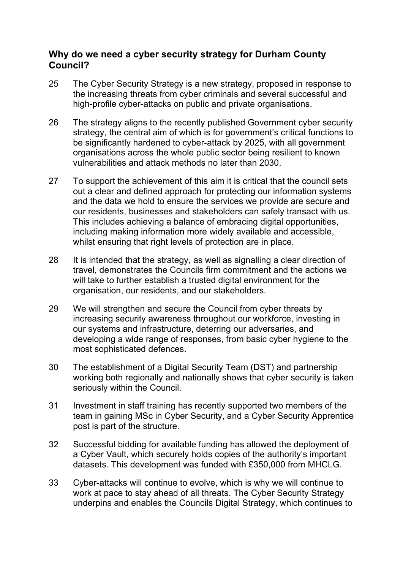#### **Why do we need a cyber security strategy for Durham County Council?**

- 25 The Cyber Security Strategy is a new strategy, proposed in response to the increasing threats from cyber criminals and several successful and high-profile cyber-attacks on public and private organisations.
- 26 The strategy aligns to the recently published Government cyber security strategy, the central aim of which is for government's critical functions to be significantly hardened to cyber-attack by 2025, with all government organisations across the whole public sector being resilient to known vulnerabilities and attack methods no later than 2030.
- 27 To support the achievement of this aim it is critical that the council sets out a clear and defined approach for protecting our information systems and the data we hold to ensure the services we provide are secure and our residents, businesses and stakeholders can safely transact with us. This includes achieving a balance of embracing digital opportunities, including making information more widely available and accessible, whilst ensuring that right levels of protection are in place.
- 28 It is intended that the strategy, as well as signalling a clear direction of travel, demonstrates the Councils firm commitment and the actions we will take to further establish a trusted digital environment for the organisation, our residents, and our stakeholders.
- 29 We will strengthen and secure the Council from cyber threats by increasing security awareness throughout our workforce, investing in our systems and infrastructure, deterring our adversaries, and developing a wide range of responses, from basic cyber hygiene to the most sophisticated defences.
- 30 The establishment of a Digital Security Team (DST) and partnership working both regionally and nationally shows that cyber security is taken seriously within the Council.
- 31 Investment in staff training has recently supported two members of the team in gaining MSc in Cyber Security, and a Cyber Security Apprentice post is part of the structure.
- 32 Successful bidding for available funding has allowed the deployment of a Cyber Vault, which securely holds copies of the authority's important datasets. This development was funded with £350,000 from MHCLG.
- 33 Cyber-attacks will continue to evolve, which is why we will continue to work at pace to stay ahead of all threats. The Cyber Security Strategy underpins and enables the Councils Digital Strategy, which continues to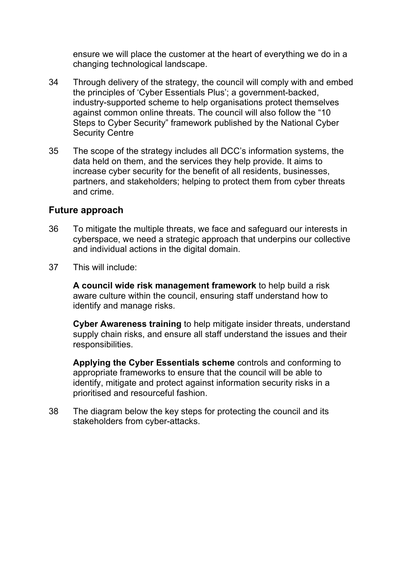ensure we will place the customer at the heart of everything we do in a changing technological landscape.

- 34 Through delivery of the strategy, the council will comply with and embed the principles of 'Cyber Essentials Plus'; a government-backed, industry-supported scheme to help organisations protect themselves against common online threats. The council will also follow the "10 Steps to Cyber Security" framework published by the National Cyber Security Centre
- 35 The scope of the strategy includes all DCC's information systems, the data held on them, and the services they help provide. It aims to increase cyber security for the benefit of all residents, businesses, partners, and stakeholders; helping to protect them from cyber threats and crime.

#### **Future approach**

- 36 To mitigate the multiple threats, we face and safeguard our interests in cyberspace, we need a strategic approach that underpins our collective and individual actions in the digital domain.
- 37 This will include:

**A council wide risk management framework** to help build a risk aware culture within the council, ensuring staff understand how to identify and manage risks.

**Cyber Awareness training** to help mitigate insider threats, understand supply chain risks, and ensure all staff understand the issues and their responsibilities.

**Applying the Cyber Essentials scheme** controls and conforming to appropriate frameworks to ensure that the council will be able to identify, mitigate and protect against information security risks in a prioritised and resourceful fashion.

38 The diagram below the key steps for protecting the council and its stakeholders from cyber-attacks.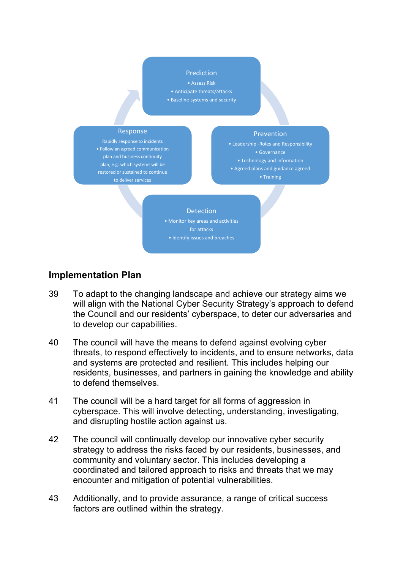#### Prediction

• Assess Risk

- Anticipate threats/attacks
- Baseline systems and security

#### Response

Rapidly response to incidents • Follow an agreed communication plan and business continuity plan, e.g. which systems will be restored or sustained to continue to deliver services

#### **Prevention**

• Leadership -Roles and Responsibility • Governance • Technology and information

• Agreed plans and guidance agreed

• Training

#### **Detection**

• Monitor key areas and activities for attacks • Identify issues and breaches

#### **Implementation Plan**

- 39 To adapt to the changing landscape and achieve our strategy aims we will align with the National Cyber Security Strategy's approach to defend the Council and our residents' cyberspace, to deter our adversaries and to develop our capabilities.
- 40 The council will have the means to defend against evolving cyber threats, to respond effectively to incidents, and to ensure networks, data and systems are protected and resilient. This includes helping our residents, businesses, and partners in gaining the knowledge and ability to defend themselves.
- 41 The council will be a hard target for all forms of aggression in cyberspace. This will involve detecting, understanding, investigating, and disrupting hostile action against us.
- 42 The council will continually develop our innovative cyber security strategy to address the risks faced by our residents, businesses, and community and voluntary sector. This includes developing a coordinated and tailored approach to risks and threats that we may encounter and mitigation of potential vulnerabilities.
- 43 Additionally, and to provide assurance, a range of critical success factors are outlined within the strategy.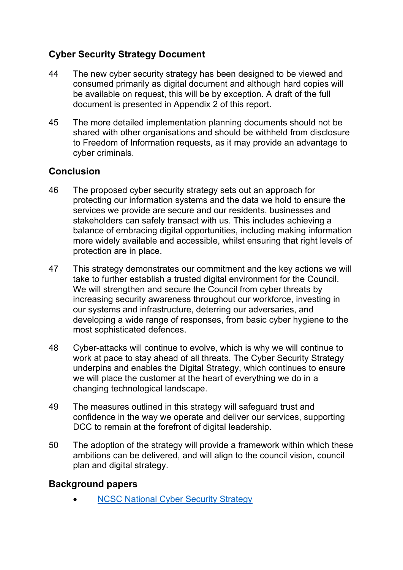## **Cyber Security Strategy Document**

- 44 The new cyber security strategy has been designed to be viewed and consumed primarily as digital document and although hard copies will be available on request, this will be by exception. A draft of the full document is presented in Appendix 2 of this report.
- 45 The more detailed implementation planning documents should not be shared with other organisations and should be withheld from disclosure to Freedom of Information requests, as it may provide an advantage to cyber criminals.

## **Conclusion**

- 46 The proposed cyber security strategy sets out an approach for protecting our information systems and the data we hold to ensure the services we provide are secure and our residents, businesses and stakeholders can safely transact with us. This includes achieving a balance of embracing digital opportunities, including making information more widely available and accessible, whilst ensuring that right levels of protection are in place.
- 47 This strategy demonstrates our commitment and the key actions we will take to further establish a trusted digital environment for the Council. We will strengthen and secure the Council from cyber threats by increasing security awareness throughout our workforce, investing in our systems and infrastructure, deterring our adversaries, and developing a wide range of responses, from basic cyber hygiene to the most sophisticated defences.
- 48 Cyber-attacks will continue to evolve, which is why we will continue to work at pace to stay ahead of all threats. The Cyber Security Strategy underpins and enables the Digital Strategy, which continues to ensure we will place the customer at the heart of everything we do in a changing technological landscape.
- 49 The measures outlined in this strategy will safeguard trust and confidence in the way we operate and deliver our services, supporting DCC to remain at the forefront of digital leadership.
- 50 The adoption of the strategy will provide a framework within which these ambitions can be delivered, and will align to the council vision, council plan and digital strategy.

#### **Background papers**

NCSC National Cyber Security Strategy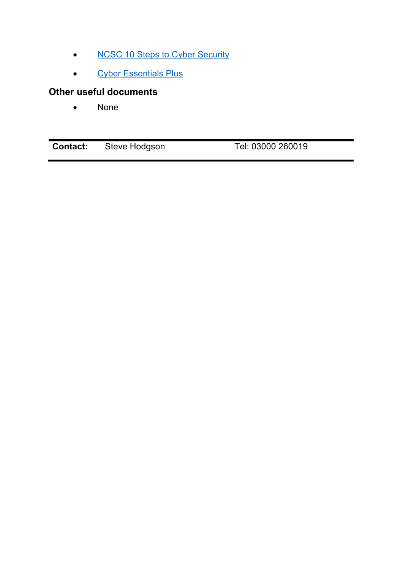- NCSC 10 Steps to Cyber Security
- Cyber Essentials Plus

## **Other useful documents**

• None

| Tel: 03000 260019<br><b>Contact:</b><br>Steve Hodgson |
|-------------------------------------------------------|
|-------------------------------------------------------|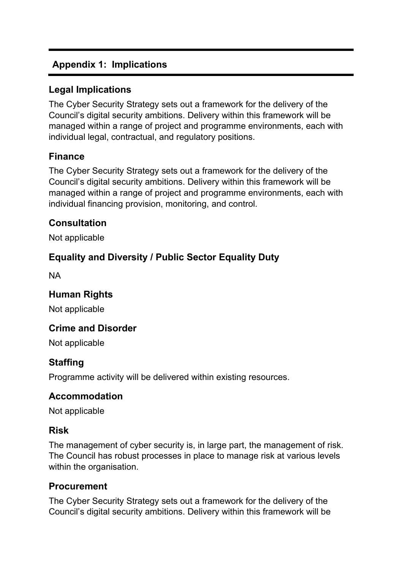## **Appendix 1: Implications**

## **Legal Implications**

The Cyber Security Strategy sets out a framework for the delivery of the Council's digital security ambitions. Delivery within this framework will be managed within a range of project and programme environments, each with individual legal, contractual, and regulatory positions.

## **Finance**

The Cyber Security Strategy sets out a framework for the delivery of the Council's digital security ambitions. Delivery within this framework will be managed within a range of project and programme environments, each with individual financing provision, monitoring, and control.

## **Consultation**

Not applicable

## **Equality and Diversity / Public Sector Equality Duty**

NA

## **Human Rights**

Not applicable

## **Crime and Disorder**

Not applicable

## **Staffing**

Programme activity will be delivered within existing resources.

#### **Accommodation**

Not applicable

#### **Risk**

The management of cyber security is, in large part, the management of risk. The Council has robust processes in place to manage risk at various levels within the organisation.

#### **Procurement**

The Cyber Security Strategy sets out a framework for the delivery of the Council's digital security ambitions. Delivery within this framework will be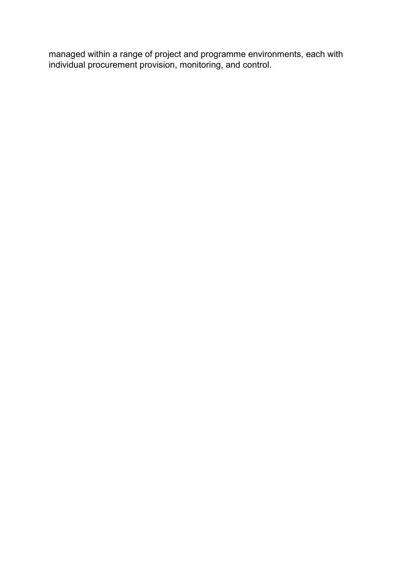managed within a range of project and programme environments, each with individual procurement provision, monitoring, and control.